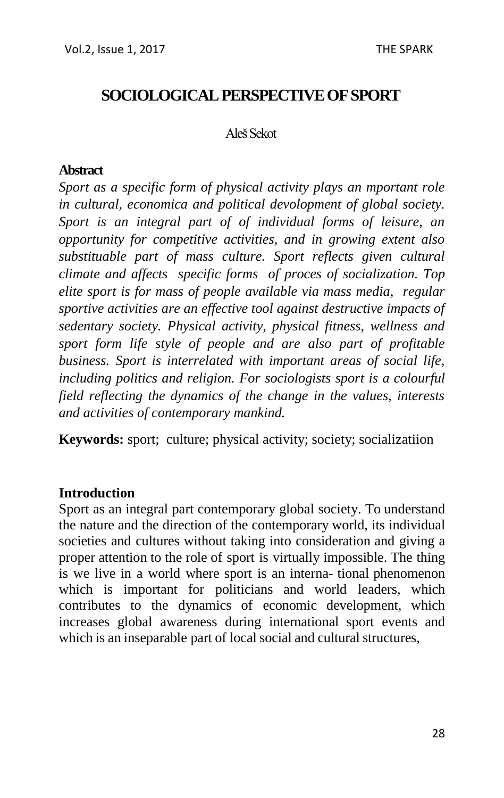# **SOCIOLOGICAL PERSPECTIVE OF SPORT**

#### Aleš Sekot

### **Abstract**

*Sport as a specific form of physical activity plays an mportant role in cultural, economica and political devolopment of global society. Sport is an integral part of of individual forms of leisure, an opportunity for competitive activities, and in growing extent also substituable part of mass culture. Sport reflects given cultural climate and affects specific forms of proces of socialization. Top elite sport is for mass of people available via mass media, regular sportive activities are an effective tool against destructive impacts of sedentary society. Physical activity, physical fitness, wellness and sport form life style of people and are also part of profitable business. Sport is interrelated with important areas of social life, including politics and religion. For sociologists sport is a colourful field reflecting the dynamics of the change in the values, interests and activities of contemporary mankind.* 

**Keywords:** sport; culture; physical activity; society; socializatiion

#### **Introduction**

Sport as an integral part contemporary global society. To understand the nature and the direction of the contemporary world, its individual societies and cultures without taking into consideration and giving a proper attention to the role of sport is virtually impossible. The thing is we live in a world where sport is an interna- tional phenomenon which is important for politicians and world leaders, which contributes to the dynamics of economic development, which increases global awareness during international sport events and which is an inseparable part of local social and cultural structures,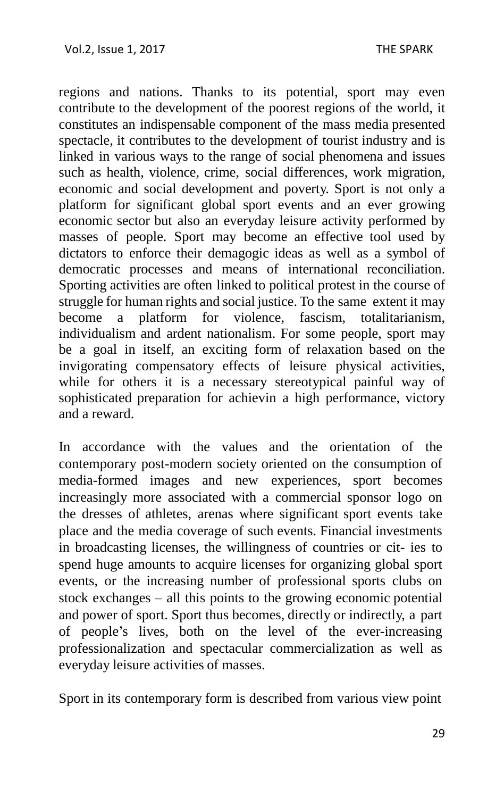regions and nations. Thanks to its potential, sport may even contribute to the development of the poorest regions of the world, it constitutes an indispensable component of the mass media presented spectacle, it contributes to the development of tourist industry and is linked in various ways to the range of social phenomena and issues such as health, violence, crime, social differences, work migration, economic and social development and poverty. Sport is not only a platform for significant global sport events and an ever growing economic sector but also an everyday leisure activity performed by masses of people. Sport may become an effective tool used by dictators to enforce their demagogic ideas as well as a symbol of democratic processes and means of international reconciliation. Sporting activities are often linked to political protest in the course of struggle for human rights and social justice. To the same extent it may become a platform for violence, fascism, totalitarianism, individualism and ardent nationalism. For some people, sport may be a goal in itself, an exciting form of relaxation based on the invigorating compensatory effects of leisure physical activities, while for others it is a necessary stereotypical painful way of sophisticated preparation for achievin a high performance, victory and a reward.

In accordance with the values and the orientation of the contemporary post-modern society oriented on the consumption of media-formed images and new experiences, sport becomes increasingly more associated with a commercial sponsor logo on the dresses of athletes, arenas where significant sport events take place and the media coverage of such events. Financial investments in broadcasting licenses, the willingness of countries or cit- ies to spend huge amounts to acquire licenses for organizing global sport events, or the increasing number of professional sports clubs on stock exchanges – all this points to the growing economic potential and power of sport. Sport thus becomes, directly or indirectly, a part of people's lives, both on the level of the ever-increasing professionalization and spectacular commercialization as well as everyday leisure activities of masses.

Sport in its contemporary form is described from various view point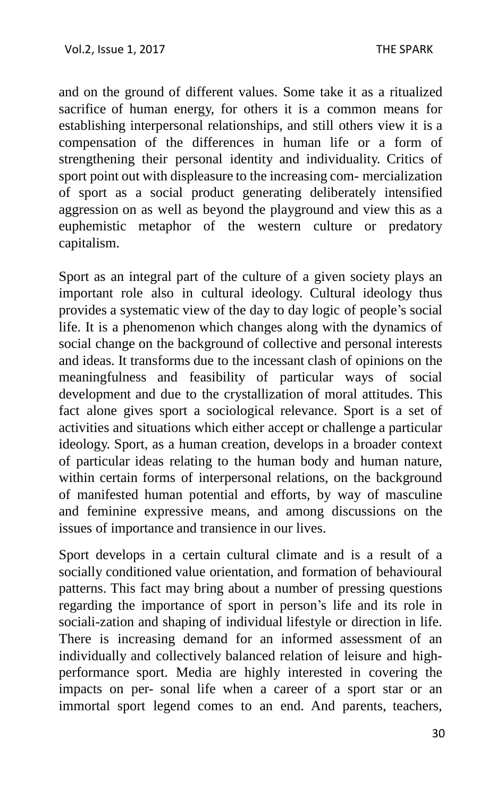and on the ground of different values. Some take it as a ritualized sacrifice of human energy, for others it is a common means for establishing interpersonal relationships, and still others view it is a compensation of the differences in human life or a form of strengthening their personal identity and individuality. Critics of sport point out with displeasure to the increasing com- mercialization of sport as a social product generating deliberately intensified aggression on as well as beyond the playground and view this as a euphemistic metaphor of the western culture or predatory capitalism.

Sport as an integral part of the culture of a given society plays an important role also in cultural ideology. Cultural ideology thus provides a systematic view of the day to day logic of people's social life. It is a phenomenon which changes along with the dynamics of social change on the background of collective and personal interests and ideas. It transforms due to the incessant clash of opinions on the meaningfulness and feasibility of particular ways of social development and due to the crystallization of moral attitudes. This fact alone gives sport a sociological relevance. Sport is a set of activities and situations which either accept or challenge a particular ideology. Sport, as a human creation, develops in a broader context of particular ideas relating to the human body and human nature, within certain forms of interpersonal relations, on the background of manifested human potential and efforts, by way of masculine and feminine expressive means, and among discussions on the issues of importance and transience in our lives.

Sport develops in a certain cultural climate and is a result of a socially conditioned value orientation, and formation of behavioural patterns. This fact may bring about a number of pressing questions regarding the importance of sport in person's life and its role in sociali-zation and shaping of individual lifestyle or direction in life. There is increasing demand for an informed assessment of an individually and collectively balanced relation of leisure and highperformance sport. Media are highly interested in covering the impacts on per- sonal life when a career of a sport star or an immortal sport legend comes to an end. And parents, teachers,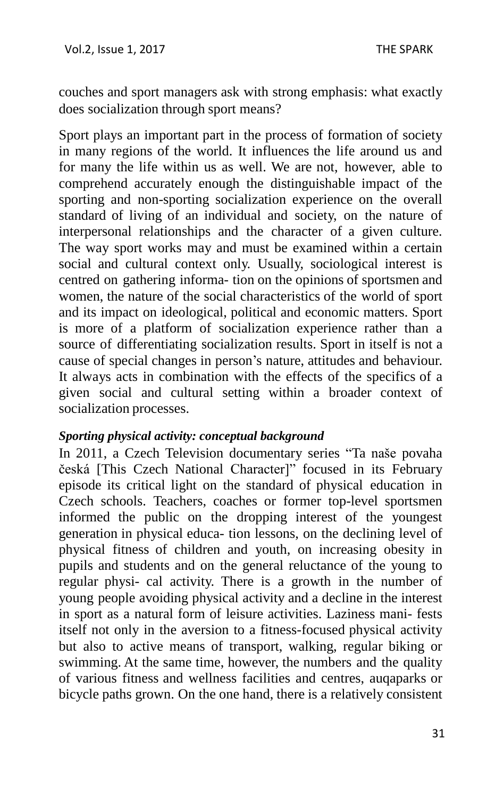couches and sport managers ask with strong emphasis: what exactly does socialization through sport means?

Sport plays an important part in the process of formation of society in many regions of the world. It influences the life around us and for many the life within us as well. We are not, however, able to comprehend accurately enough the distinguishable impact of the sporting and non-sporting socialization experience on the overall standard of living of an individual and society, on the nature of interpersonal relationships and the character of a given culture. The way sport works may and must be examined within a certain social and cultural context only. Usually, sociological interest is centred on gathering informa- tion on the opinions of sportsmen and women, the nature of the social characteristics of the world of sport and its impact on ideological, political and economic matters. Sport is more of a platform of socialization experience rather than a source of differentiating socialization results. Sport in itself is not a cause of special changes in person's nature, attitudes and behaviour. It always acts in combination with the effects of the specifics of a given social and cultural setting within a broader context of socialization processes.

#### *Sporting physical activity: conceptual background*

In 2011, a Czech Television documentary series "Ta naše povaha česká [This Czech National Character]" focused in its February episode its critical light on the standard of physical education in Czech schools. Teachers, coaches or former top-level sportsmen informed the public on the dropping interest of the youngest generation in physical educa- tion lessons, on the declining level of physical fitness of children and youth, on increasing obesity in pupils and students and on the general reluctance of the young to regular physi- cal activity. There is a growth in the number of young people avoiding physical activity and a decline in the interest in sport as a natural form of leisure activities. Laziness mani- fests itself not only in the aversion to a fitness-focused physical activity but also to active means of transport, walking, regular biking or swimming. At the same time, however, the numbers and the quality of various fitness and wellness facilities and centres, auqaparks or bicycle paths grown. On the one hand, there is a relatively consistent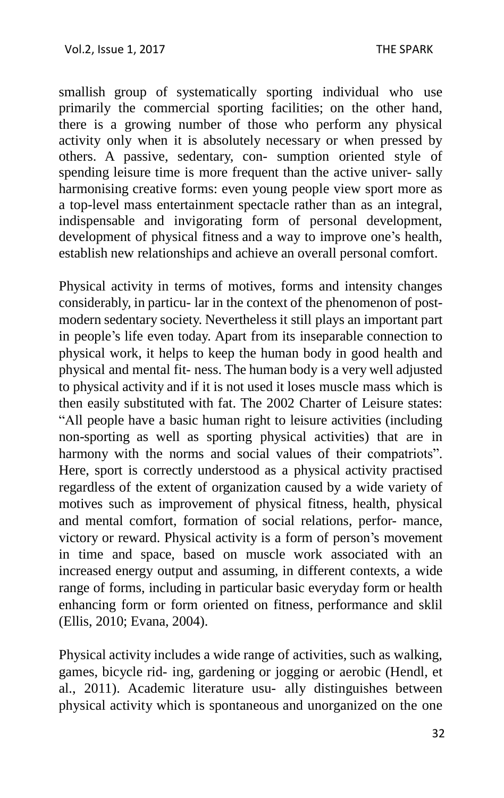smallish group of systematically sporting individual who use primarily the commercial sporting facilities; on the other hand, there is a growing number of those who perform any physical activity only when it is absolutely necessary or when pressed by others. A passive, sedentary, con- sumption oriented style of spending leisure time is more frequent than the active univer- sally harmonising creative forms: even young people view sport more as a top-level mass entertainment spectacle rather than as an integral, indispensable and invigorating form of personal development, development of physical fitness and a way to improve one's health, establish new relationships and achieve an overall personal comfort.

Physical activity in terms of motives, forms and intensity changes considerably, in particu- lar in the context of the phenomenon of postmodern sedentary society. Nevertheless it still plays an important part in people's life even today. Apart from its inseparable connection to physical work, it helps to keep the human body in good health and physical and mental fit- ness. The human body is a very well adjusted to physical activity and if it is not used it loses muscle mass which is then easily substituted with fat. The 2002 Charter of Leisure states: "All people have a basic human right to leisure activities (including non-sporting as well as sporting physical activities) that are in harmony with the norms and social values of their compatriots". Here, sport is correctly understood as a physical activity practised regardless of the extent of organization caused by a wide variety of motives such as improvement of physical fitness, health, physical and mental comfort, formation of social relations, perfor- mance, victory or reward. Physical activity is a form of person's movement in time and space, based on muscle work associated with an increased energy output and assuming, in different contexts, a wide range of forms, including in particular basic everyday form or health enhancing form or form oriented on fitness, performance and sklil (Ellis, 2010; Evana, 2004).

Physical activity includes a wide range of activities, such as walking, games, bicycle rid- ing, gardening or jogging or aerobic (Hendl, et al., 2011). Academic literature usu- ally distinguishes between physical activity which is spontaneous and unorganized on the one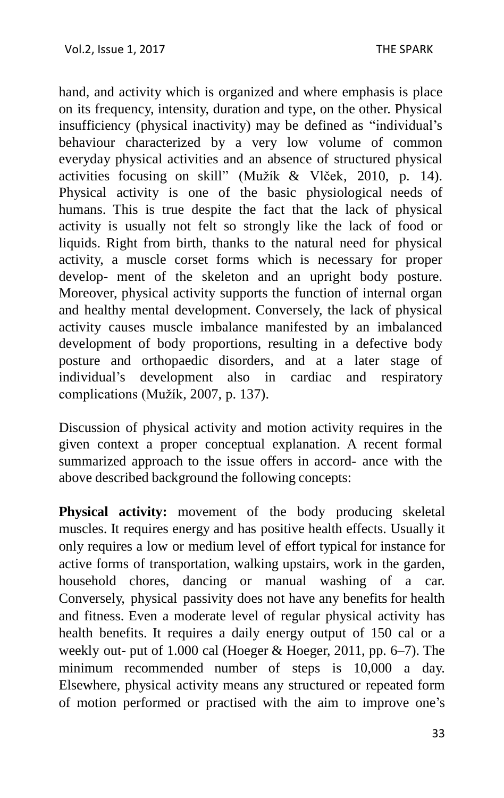hand, and activity which is organized and where emphasis is place on its frequency, intensity, duration and type, on the other. Physical insufficiency (physical inactivity) may be defined as "individual's behaviour characterized by a very low volume of common everyday physical activities and an absence of structured physical activities focusing on skill" (Mužík & Vlček, 2010, p. 14). Physical activity is one of the basic physiological needs of humans. This is true despite the fact that the lack of physical activity is usually not felt so strongly like the lack of food or liquids. Right from birth, thanks to the natural need for physical activity, a muscle corset forms which is necessary for proper develop- ment of the skeleton and an upright body posture. Moreover, physical activity supports the function of internal organ and healthy mental development. Conversely, the lack of physical activity causes muscle imbalance manifested by an imbalanced development of body proportions, resulting in a defective body posture and orthopaedic disorders, and at a later stage of individual's development also in cardiac and respiratory complications (Mužík, 2007, p. 137).

Discussion of physical activity and motion activity requires in the given context a proper conceptual explanation. A recent formal summarized approach to the issue offers in accord- ance with the above described background the following concepts:

**Physical activity:** movement of the body producing skeletal muscles. It requires energy and has positive health effects. Usually it only requires a low or medium level of effort typical for instance for active forms of transportation, walking upstairs, work in the garden, household chores, dancing or manual washing of a car. Conversely, physical passivity does not have any benefits for health and fitness. Even a moderate level of regular physical activity has health benefits. It requires a daily energy output of 150 cal or a weekly out- put of 1.000 cal (Hoeger & Hoeger, 2011, pp. 6–7). The minimum recommended number of steps is 10,000 a day. Elsewhere, physical activity means any structured or repeated form of motion performed or practised with the aim to improve one's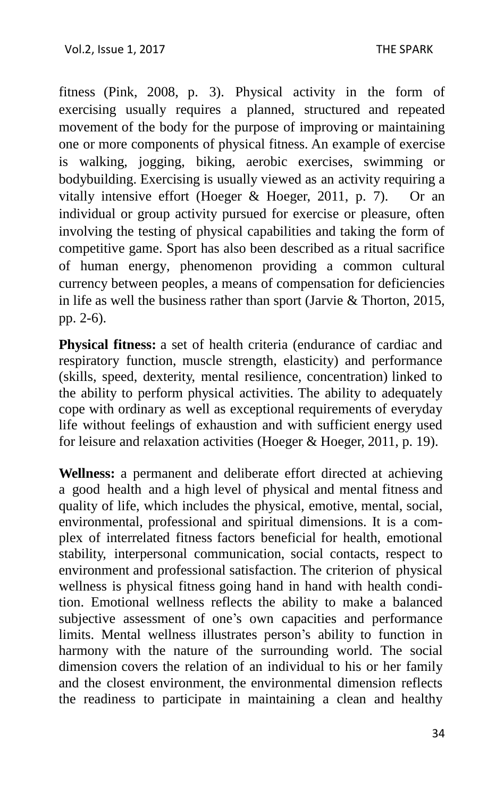fitness (Pink, 2008, p. 3). Physical activity in the form of exercising usually requires a planned, structured and repeated movement of the body for the purpose of improving or maintaining one or more components of physical fitness. An example of exercise is walking, jogging, biking, aerobic exercises, swimming or bodybuilding. Exercising is usually viewed as an activity requiring a vitally intensive effort (Hoeger & Hoeger, 2011, p. 7). Or an individual or group activity pursued for exercise or pleasure, often involving the testing of physical capabilities and taking the form of competitive game. Sport has also been described as a ritual sacrifice of human energy, phenomenon providing a common cultural currency between peoples, a means of compensation for deficiencies in life as well the business rather than sport (Jarvie  $&$  Thorton, 2015, pp. 2-6).

**Physical fitness:** a set of health criteria (endurance of cardiac and respiratory function, muscle strength, elasticity) and performance (skills, speed, dexterity, mental resilience, concentration) linked to the ability to perform physical activities. The ability to adequately cope with ordinary as well as exceptional requirements of everyday life without feelings of exhaustion and with sufficient energy used for leisure and relaxation activities (Hoeger & Hoeger, 2011, p. 19).

**Wellness:** a permanent and deliberate effort directed at achieving a good health and a high level of physical and mental fitness and quality of life, which includes the physical, emotive, mental, social, environmental, professional and spiritual dimensions. It is a complex of interrelated fitness factors beneficial for health, emotional stability, interpersonal communication, social contacts, respect to environment and professional satisfaction. The criterion of physical wellness is physical fitness going hand in hand with health condition. Emotional wellness reflects the ability to make a balanced subjective assessment of one's own capacities and performance limits. Mental wellness illustrates person's ability to function in harmony with the nature of the surrounding world. The social dimension covers the relation of an individual to his or her family and the closest environment, the environmental dimension reflects the readiness to participate in maintaining a clean and healthy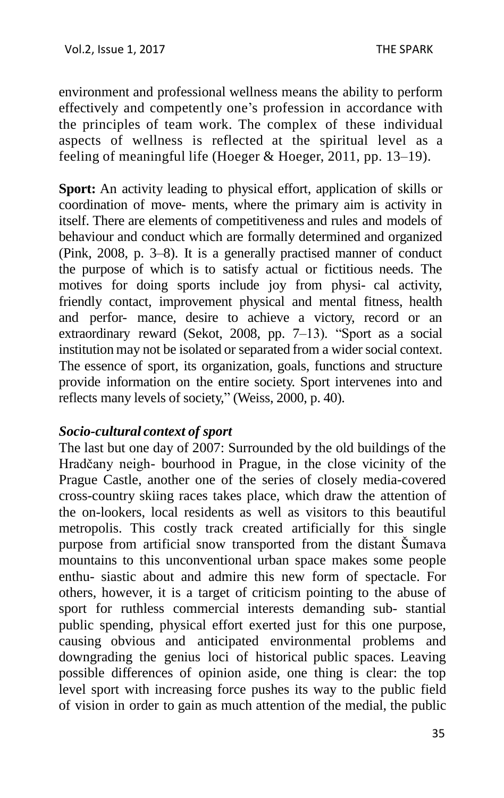environment and professional wellness means the ability to perform effectively and competently one's profession in accordance with the principles of team work. The complex of these individual aspects of wellness is reflected at the spiritual level as a feeling of meaningful life (Hoeger & Hoeger, 2011, pp. 13–19).

**Sport:** An activity leading to physical effort, application of skills or coordination of move- ments, where the primary aim is activity in itself. There are elements of competitiveness and rules and models of behaviour and conduct which are formally determined and organized (Pink, 2008, p. 3–8). It is a generally practised manner of conduct the purpose of which is to satisfy actual or fictitious needs. The motives for doing sports include joy from physi- cal activity, friendly contact, improvement physical and mental fitness, health and perfor- mance, desire to achieve a victory, record or an extraordinary reward (Sekot, 2008, pp. 7–13). "Sport as a social institution may not be isolated or separated from a wider social context. The essence of sport, its organization, goals, functions and structure provide information on the entire society. Sport intervenes into and reflects many levels of society," (Weiss, 2000, p. 40).

#### *Socio-cultural context of sport*

The last but one day of 2007: Surrounded by the old buildings of the Hradčany neigh- bourhood in Prague, in the close vicinity of the Prague Castle, another one of the series of closely media-covered cross-country skiing races takes place, which draw the attention of the on-lookers, local residents as well as visitors to this beautiful metropolis. This costly track created artificially for this single purpose from artificial snow transported from the distant Šumava mountains to this unconventional urban space makes some people enthu- siastic about and admire this new form of spectacle. For others, however, it is a target of criticism pointing to the abuse of sport for ruthless commercial interests demanding sub- stantial public spending, physical effort exerted just for this one purpose, causing obvious and anticipated environmental problems and downgrading the genius loci of historical public spaces. Leaving possible differences of opinion aside, one thing is clear: the top level sport with increasing force pushes its way to the public field of vision in order to gain as much attention of the medial, the public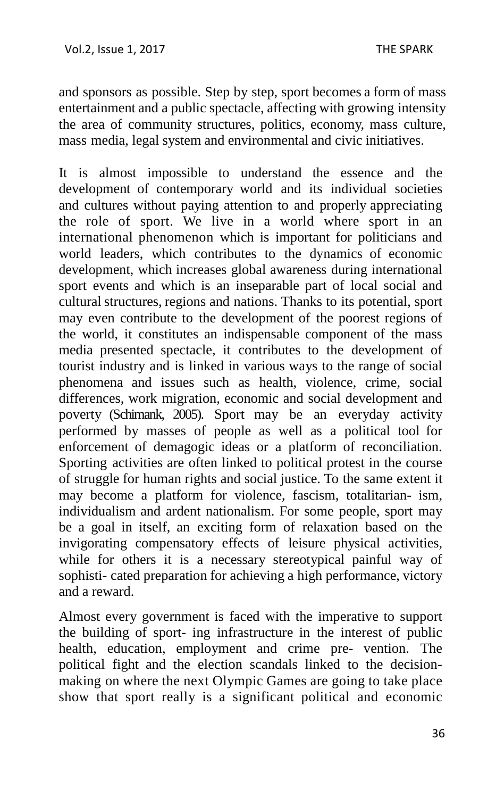and sponsors as possible. Step by step, sport becomes a form of mass entertainment and a public spectacle, affecting with growing intensity the area of community structures, politics, economy, mass culture, mass media, legal system and environmental and civic initiatives.

It is almost impossible to understand the essence and the development of contemporary world and its individual societies and cultures without paying attention to and properly appreciating the role of sport. We live in a world where sport in an international phenomenon which is important for politicians and world leaders, which contributes to the dynamics of economic development, which increases global awareness during international sport events and which is an inseparable part of local social and cultural structures, regions and nations. Thanks to its potential, sport may even contribute to the development of the poorest regions of the world, it constitutes an indispensable component of the mass media presented spectacle, it contributes to the development of tourist industry and is linked in various ways to the range of social phenomena and issues such as health, violence, crime, social differences, work migration, economic and social development and poverty (Schimank, 2005). Sport may be an everyday activity performed by masses of people as well as a political tool for enforcement of demagogic ideas or a platform of reconciliation. Sporting activities are often linked to political protest in the course of struggle for human rights and social justice. To the same extent it may become a platform for violence, fascism, totalitarian- ism, individualism and ardent nationalism. For some people, sport may be a goal in itself, an exciting form of relaxation based on the invigorating compensatory effects of leisure physical activities, while for others it is a necessary stereotypical painful way of sophisti- cated preparation for achieving a high performance, victory and a reward.

Almost every government is faced with the imperative to support the building of sport- ing infrastructure in the interest of public health, education, employment and crime pre- vention. The political fight and the election scandals linked to the decisionmaking on where the next Olympic Games are going to take place show that sport really is a significant political and economic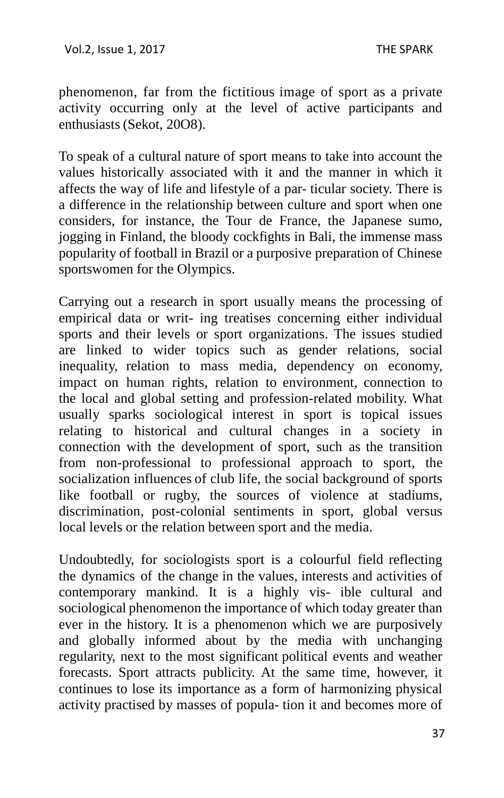phenomenon, far from the fictitious image of sport as a private activity occurring only at the level of active participants and enthusiasts (Sekot, 20O8).

To speak of a cultural nature of sport means to take into account the values historically associated with it and the manner in which it affects the way of life and lifestyle of a par- ticular society. There is a difference in the relationship between culture and sport when one considers, for instance, the Tour de France, the Japanese sumo, jogging in Finland, the bloody cockfights in Bali, the immense mass popularity of football in Brazil or a purposive preparation of Chinese sportswomen for the Olympics.

Carrying out a research in sport usually means the processing of empirical data or writ- ing treatises concerning either individual sports and their levels or sport organizations. The issues studied are linked to wider topics such as gender relations, social inequality, relation to mass media, dependency on economy, impact on human rights, relation to environment, connection to the local and global setting and profession-related mobility. What usually sparks sociological interest in sport is topical issues relating to historical and cultural changes in a society in connection with the development of sport, such as the transition from non-professional to professional approach to sport, the socialization influences of club life, the social background of sports like football or rugby, the sources of violence at stadiums, discrimination, post-colonial sentiments in sport, global versus local levels or the relation between sport and the media.

Undoubtedly, for sociologists sport is a colourful field reflecting the dynamics of the change in the values, interests and activities of contemporary mankind. It is a highly vis- ible cultural and sociological phenomenon the importance of which today greater than ever in the history. It is a phenomenon which we are purposively and globally informed about by the media with unchanging regularity, next to the most significant political events and weather forecasts. Sport attracts publicity. At the same time, however, it continues to lose its importance as a form of harmonizing physical activity practised by masses of popula- tion it and becomes more of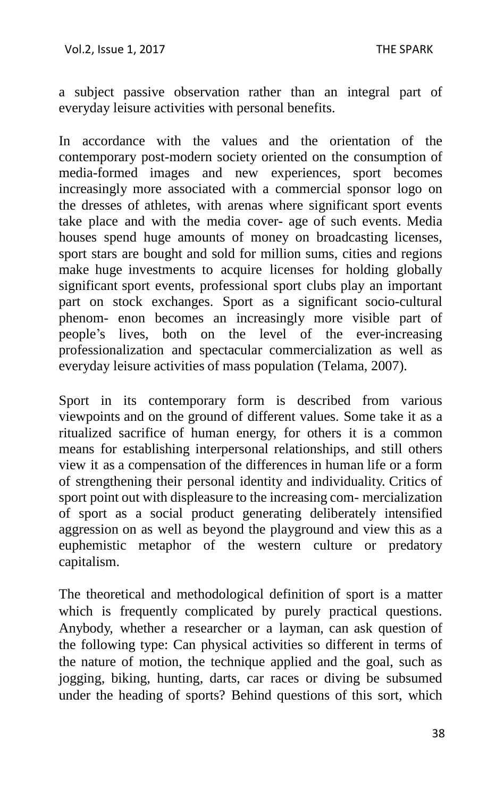a subject passive observation rather than an integral part of everyday leisure activities with personal benefits.

In accordance with the values and the orientation of the contemporary post-modern society oriented on the consumption of media-formed images and new experiences, sport becomes increasingly more associated with a commercial sponsor logo on the dresses of athletes, with arenas where significant sport events take place and with the media cover- age of such events. Media houses spend huge amounts of money on broadcasting licenses, sport stars are bought and sold for million sums, cities and regions make huge investments to acquire licenses for holding globally significant sport events, professional sport clubs play an important part on stock exchanges. Sport as a significant socio-cultural phenom- enon becomes an increasingly more visible part of people's lives, both on the level of the ever-increasing professionalization and spectacular commercialization as well as everyday leisure activities of mass population (Telama, 2007).

Sport in its contemporary form is described from various viewpoints and on the ground of different values. Some take it as a ritualized sacrifice of human energy, for others it is a common means for establishing interpersonal relationships, and still others view it as a compensation of the differences in human life or a form of strengthening their personal identity and individuality. Critics of sport point out with displeasure to the increasing com- mercialization of sport as a social product generating deliberately intensified aggression on as well as beyond the playground and view this as a euphemistic metaphor of the western culture or predatory capitalism.

The theoretical and methodological definition of sport is a matter which is frequently complicated by purely practical questions. Anybody, whether a researcher or a layman, can ask question of the following type: Can physical activities so different in terms of the nature of motion, the technique applied and the goal, such as jogging, biking, hunting, darts, car races or diving be subsumed under the heading of sports? Behind questions of this sort, which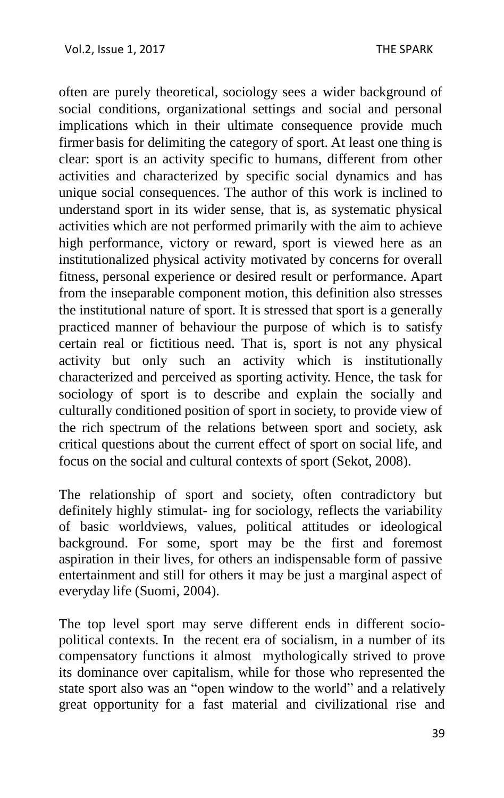often are purely theoretical, sociology sees a wider background of social conditions, organizational settings and social and personal implications which in their ultimate consequence provide much firmer basis for delimiting the category of sport. At least one thing is clear: sport is an activity specific to humans, different from other activities and characterized by specific social dynamics and has unique social consequences. The author of this work is inclined to understand sport in its wider sense, that is, as systematic physical activities which are not performed primarily with the aim to achieve high performance, victory or reward, sport is viewed here as an institutionalized physical activity motivated by concerns for overall fitness, personal experience or desired result or performance. Apart from the inseparable component motion, this definition also stresses the institutional nature of sport. It is stressed that sport is a generally practiced manner of behaviour the purpose of which is to satisfy certain real or fictitious need. That is, sport is not any physical activity but only such an activity which is institutionally characterized and perceived as sporting activity. Hence, the task for sociology of sport is to describe and explain the socially and culturally conditioned position of sport in society, to provide view of the rich spectrum of the relations between sport and society, ask critical questions about the current effect of sport on social life, and focus on the social and cultural contexts of sport (Sekot, 2008).

The relationship of sport and society, often contradictory but definitely highly stimulat- ing for sociology, reflects the variability of basic worldviews, values, political attitudes or ideological background. For some, sport may be the first and foremost aspiration in their lives, for others an indispensable form of passive entertainment and still for others it may be just a marginal aspect of everyday life (Suomi, 2004).

The top level sport may serve different ends in different sociopolitical contexts. In the recent era of socialism, in a number of its compensatory functions it almost mythologically strived to prove its dominance over capitalism, while for those who represented the state sport also was an "open window to the world" and a relatively great opportunity for a fast material and civilizational rise and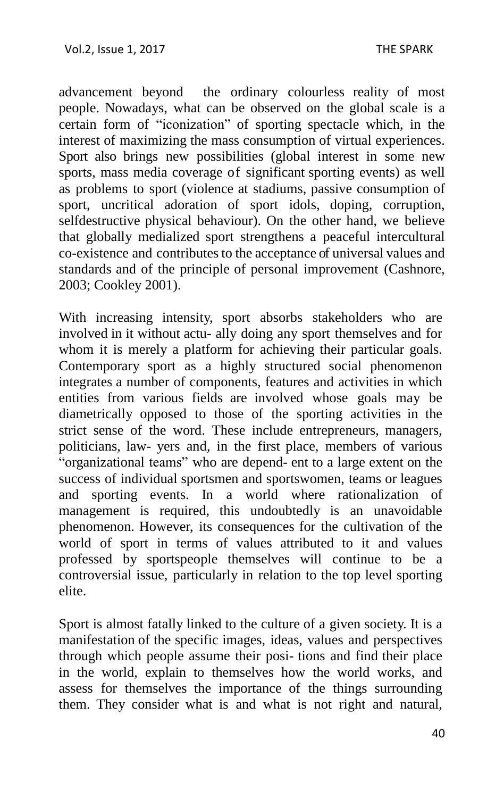advancement beyond the ordinary colourless reality of most people. Nowadays, what can be observed on the global scale is a certain form of "iconization" of sporting spectacle which, in the interest of maximizing the mass consumption of virtual experiences. Sport also brings new possibilities (global interest in some new sports, mass media coverage of significant sporting events) as well as problems to sport (violence at stadiums, passive consumption of sport, uncritical adoration of sport idols, doping, corruption, selfdestructive physical behaviour). On the other hand, we believe that globally medialized sport strengthens a peaceful intercultural co-existence and contributes to the acceptance of universal values and standards and of the principle of personal improvement (Cashnore, 2003; Cookley 2001).

With increasing intensity, sport absorbs stakeholders who are involved in it without actu- ally doing any sport themselves and for whom it is merely a platform for achieving their particular goals. Contemporary sport as a highly structured social phenomenon integrates a number of components, features and activities in which entities from various fields are involved whose goals may be diametrically opposed to those of the sporting activities in the strict sense of the word. These include entrepreneurs, managers, politicians, law- yers and, in the first place, members of various "organizational teams" who are depend- ent to a large extent on the success of individual sportsmen and sportswomen, teams or leagues and sporting events. In a world where rationalization of management is required, this undoubtedly is an unavoidable phenomenon. However, its consequences for the cultivation of the world of sport in terms of values attributed to it and values professed by sportspeople themselves will continue to be a controversial issue, particularly in relation to the top level sporting elite.

Sport is almost fatally linked to the culture of a given society. It is a manifestation of the specific images, ideas, values and perspectives through which people assume their posi- tions and find their place in the world, explain to themselves how the world works, and assess for themselves the importance of the things surrounding them. They consider what is and what is not right and natural,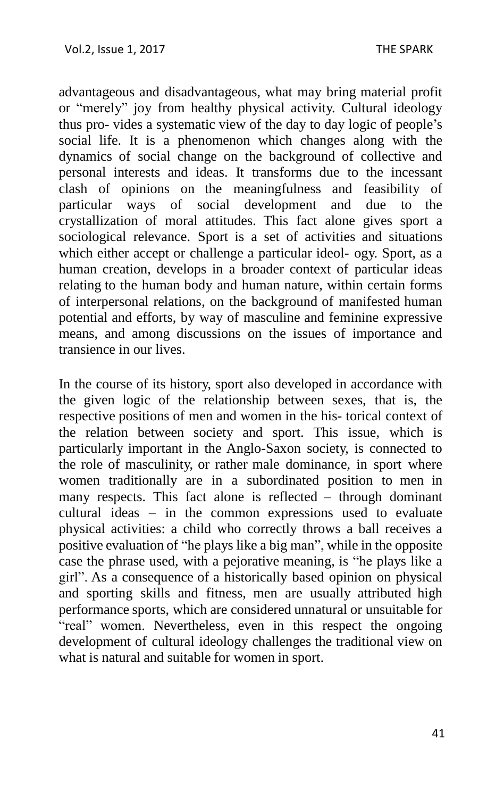advantageous and disadvantageous, what may bring material profit or "merely" joy from healthy physical activity. Cultural ideology thus pro- vides a systematic view of the day to day logic of people's social life. It is a phenomenon which changes along with the dynamics of social change on the background of collective and personal interests and ideas. It transforms due to the incessant clash of opinions on the meaningfulness and feasibility of particular ways of social development and due to the crystallization of moral attitudes. This fact alone gives sport a sociological relevance. Sport is a set of activities and situations which either accept or challenge a particular ideol- ogy. Sport, as a human creation, develops in a broader context of particular ideas relating to the human body and human nature, within certain forms of interpersonal relations, on the background of manifested human potential and efforts, by way of masculine and feminine expressive means, and among discussions on the issues of importance and transience in our lives.

In the course of its history, sport also developed in accordance with the given logic of the relationship between sexes, that is, the respective positions of men and women in the his- torical context of the relation between society and sport. This issue, which is particularly important in the Anglo-Saxon society, is connected to the role of masculinity, or rather male dominance, in sport where women traditionally are in a subordinated position to men in many respects. This fact alone is reflected – through dominant cultural ideas – in the common expressions used to evaluate physical activities: a child who correctly throws a ball receives a positive evaluation of "he plays like a big man", while in the opposite case the phrase used, with a pejorative meaning, is "he plays like a girl". As a consequence of a historically based opinion on physical and sporting skills and fitness, men are usually attributed high performance sports, which are considered unnatural or unsuitable for "real" women. Nevertheless, even in this respect the ongoing development of cultural ideology challenges the traditional view on what is natural and suitable for women in sport.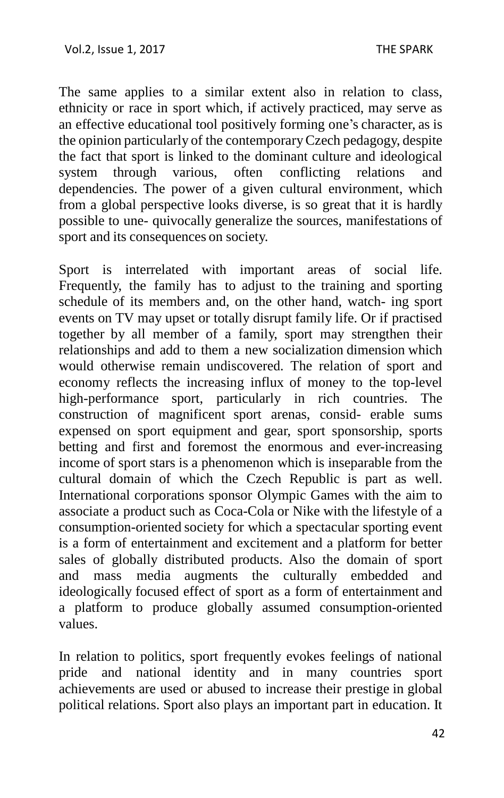The same applies to a similar extent also in relation to class, ethnicity or race in sport which, if actively practiced, may serve as an effective educational tool positively forming one's character, as is the opinion particularly of the contemporaryCzech pedagogy, despite the fact that sport is linked to the dominant culture and ideological system through various, often conflicting relations and dependencies. The power of a given cultural environment, which from a global perspective looks diverse, is so great that it is hardly possible to une- quivocally generalize the sources, manifestations of sport and its consequences on society.

Sport is interrelated with important areas of social life. Frequently, the family has to adjust to the training and sporting schedule of its members and, on the other hand, watch- ing sport events on TV may upset or totally disrupt family life. Or if practised together by all member of a family, sport may strengthen their relationships and add to them a new socialization dimension which would otherwise remain undiscovered. The relation of sport and economy reflects the increasing influx of money to the top-level high-performance sport, particularly in rich countries. The construction of magnificent sport arenas, consid- erable sums expensed on sport equipment and gear, sport sponsorship, sports betting and first and foremost the enormous and ever-increasing income of sport stars is a phenomenon which is inseparable from the cultural domain of which the Czech Republic is part as well. International corporations sponsor Olympic Games with the aim to associate a product such as Coca-Cola or Nike with the lifestyle of a consumption-oriented society for which a spectacular sporting event is a form of entertainment and excitement and a platform for better sales of globally distributed products. Also the domain of sport and mass media augments the culturally embedded and ideologically focused effect of sport as a form of entertainment and a platform to produce globally assumed consumption-oriented values.

In relation to politics, sport frequently evokes feelings of national pride and national identity and in many countries sport achievements are used or abused to increase their prestige in global political relations. Sport also plays an important part in education. It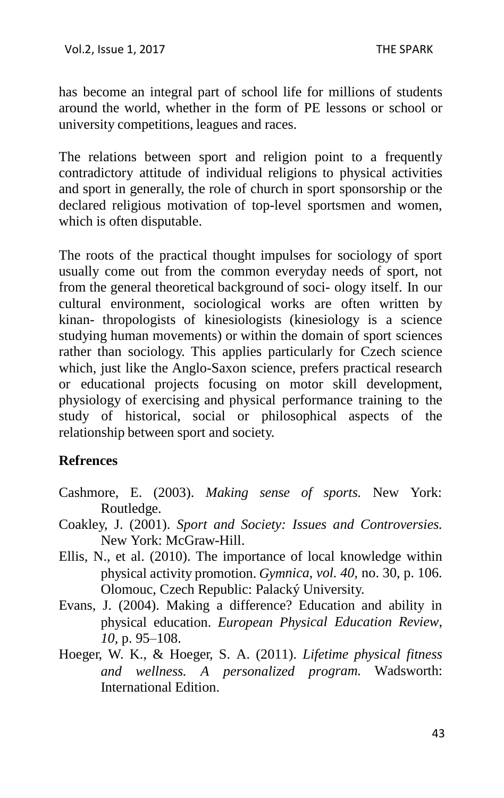has become an integral part of school life for millions of students around the world, whether in the form of PE lessons or school or university competitions, leagues and races.

The relations between sport and religion point to a frequently contradictory attitude of individual religions to physical activities and sport in generally, the role of church in sport sponsorship or the declared religious motivation of top-level sportsmen and women, which is often disputable.

The roots of the practical thought impulses for sociology of sport usually come out from the common everyday needs of sport, not from the general theoretical background of soci- ology itself. In our cultural environment, sociological works are often written by kinan- thropologists of kinesiologists (kinesiology is a science studying human movements) or within the domain of sport sciences rather than sociology. This applies particularly for Czech science which, just like the Anglo-Saxon science, prefers practical research or educational projects focusing on motor skill development, physiology of exercising and physical performance training to the study of historical, social or philosophical aspects of the relationship between sport and society.

## **Refrences**

- Cashmore, E. (2003). *Making sense of sports.* New York: Routledge.
- Coakley, J. (2001). *Sport and Society: Issues and Controversies.*  New York: McGraw-Hill.
- Ellis, N., et al. (2010). The importance of local knowledge within physical activity promotion. *Gymnica*, *vol. 40,* no. 30, p. 106. Olomouc, Czech Republic: Palacký University.
- Evans, J. (2004). Making a difference? Education and ability in physical education. *European Physical Education Review*, *10,* p. 95–108.
- Hoeger, W. K., & Hoeger, S. A. (2011). *Lifetime physical fitness and wellness. A personalized program.* Wadsworth: International Edition.